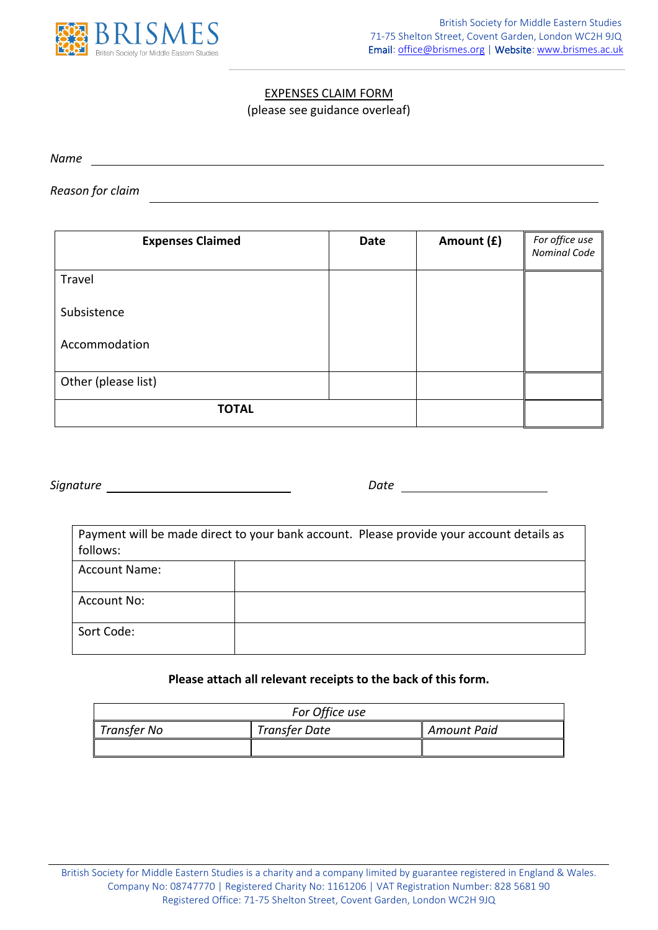

## EXPENSES CLAIM FORM

(please see guidance overleaf)

*Name* 

*Reason for claim* 

| <b>Expenses Claimed</b> | Date | Amount (£) | For office use<br><b>Nominal Code</b> |
|-------------------------|------|------------|---------------------------------------|
| Travel                  |      |            |                                       |
| Subsistence             |      |            |                                       |
| Accommodation           |      |            |                                       |
| Other (please list)     |      |            |                                       |
| <b>TOTAL</b>            |      |            |                                       |

*Signature Date*

| follows:      | Payment will be made direct to your bank account. Please provide your account details as |
|---------------|------------------------------------------------------------------------------------------|
| Account Name: |                                                                                          |
|               |                                                                                          |
| Account No:   |                                                                                          |
|               |                                                                                          |
| Sort Code:    |                                                                                          |
|               |                                                                                          |

**Please attach all relevant receipts to the back of this form.**

| For Office use          |                      |             |  |
|-------------------------|----------------------|-------------|--|
| $\parallel$ Transfer No | <b>Transfer Date</b> | Amount Paid |  |
|                         |                      |             |  |

British Society for Middle Eastern Studies is a charity and a company limited by guarantee registered in England & Wales. Company No: 08747770 | Registered Charity No: 1161206 | VAT Registration Number: 828 5681 90 Registered Office: 71-75 Shelton Street, Covent Garden, London WC2H 9JQ